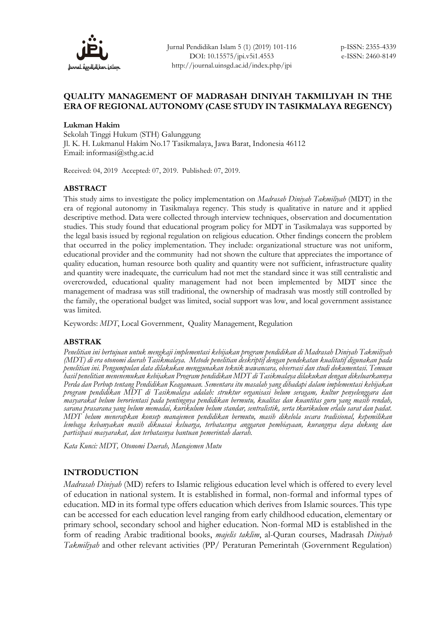

# **QUALITY MANAGEMENT OF MADRASAH DINIYAH TAKMILIYAH IN THE ERA OF REGIONAL AUTONOMY (CASE STUDY IN TASIKMALAYA REGENCY)**

#### **Lukman Hakim**

Sekolah Tinggi Hukum (STH) Galunggung Jl. K. H. Lukmanul Hakim No.17 Tasikmalaya, Jawa Barat, Indonesia 46112 Email: informasi@sthg.ac.id

Received: 04, 2019 Accepted: 07, 2019. Published: 07, 2019.

#### **ABSTRACT**

This study aims to investigate the policy implementation on *Madrasah Diniyah Takmiliyah* (MDT) in the era of regional autonomy in Tasikmalaya regency. This study is qualitative in nature and it applied descriptive method. Data were collected through interview techniques, observation and documentation studies. This study found that educational program policy for MDT in Tasikmalaya was supported by the legal basis issued by regional regulation on religious education. Other findings concern the problem that occurred in the policy implementation. They include: organizational structure was not uniform, educational provider and the community had not shown the culture that appreciates the importance of quality education, human resource both quality and quantity were not sufficient, infrastructure quality and quantity were inadequate, the curriculum had not met the standard since it was still centralistic and overcrowded, educational quality management had not been implemented by MDT since the management of madrasa was still traditional, the ownership of madrasah was mostly still controlled by the family, the operational budget was limited, social support was low, and local government assistance was limited.

Keywords: *MDT*, Local Government, Quality Management, Regulation

#### **ABSTRAK**

*Penelitian ini bertujuan untuk mengkaji implementasi kebijakan program pendidikan di Madrasah Diniyah Takmiliyah (MDT) di era otonomi daerah Tasikmalaya. Metode penelitian deskriptif dengan pendekatan kualitatif digunakan pada penelitian ini. Pengumpulan data dilakukan menggunakan teknik wawancara, observasi dan studi dokumentasi. Temuan hasil penelitian menenemukan kebijakan Program pendidikan MDT di Tasikmalaya dilakukan dengan dikeluarkannya Perda dan Perbup tentang Pendidikan Keagamaan. Sementara itu masalah yang dihadapi dalam implementasi kebijakan program pendidikan MDT di Tasikmalaya adalah: struktur organisasi belum seragam, kultur penyelenggara dan masyarakat belum berorientasi pada pentingnya pendidikan bermutu, kualitas dan kuantitas guru yang masih rendah, sarana prasarana yang belum memadai, kurikulum belum standar, sentralistik, serta tkurikulum erlalu sarat dan padat. MDT belum menerapkan konsep manajemen pendidikan bermutu, masih dikelola secara tradisional, kepemilikan lembaga kebanyakan masih dikuasai keluarga, terbatasnya anggaran pembiayaan, kurangnya daya dukung dan partisipasi masyarakat, dan terbatasnya bantuan pemerintah daerah.* 

*Kata Kunci: MDT, Otonomi Daerah, Manajemen Mutu*

# **INTRODUCTION**

*Madrasah Diniyah* (MD) refers to Islamic religious education level which is offered to every level of education in national system. It is established in formal, non-formal and informal types of education. MD in its formal type offers education which derives from Islamic sources. This type can be accessed for each education level ranging from early childhood education, elementary or primary school, secondary school and higher education. Non-formal MD is established in the form of reading Arabic traditional books, *majelis taklim*, al-Quran courses, Madrasah *Diniyah Takmiliyah* and other relevant activities (PP/ Peraturan Pemerintah (Government Regulation)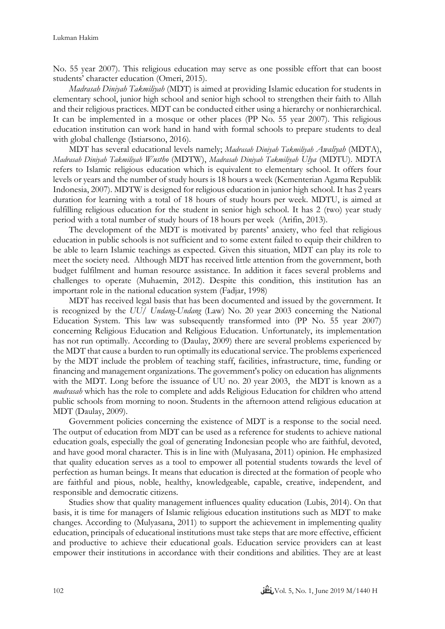No. 55 year 2007). This religious education may serve as one possible effort that can boost students' character education (Omeri, 2015).

*Madrasah Diniyah Takmiliyah* (MDT) is aimed at providing Islamic education for students in elementary school, junior high school and senior high school to strengthen their faith to Allah and their religious practices. MDT can be conducted either using a hierarchy or nonhierarchical. It can be implemented in a mosque or other places (PP No. 55 year 2007). This religious education institution can work hand in hand with formal schools to prepare students to deal with global challenge (Istiarsono, 2016).

MDT has several educational levels namely; *Madrasah Diniyah Takmiliyah Awaliyah* (MDTA), *Madrasah Diniyah Takmiliyah Wustho* (MDTW), *Madrasah Diniyah Takmiliyah Ulya* (MDTU). MDTA refers to Islamic religious education which is equivalent to elementary school. It offers four levels or years and the number of study hours is 18 hours a week (Kementerian Agama Republik Indonesia, 2007). MDTW is designed for religious education in junior high school. It has 2 years duration for learning with a total of 18 hours of study hours per week. MDTU, is aimed at fulfilling religious education for the student in senior high school. It has 2 (two) year study period with a total number of study hours of 18 hours per week (Arifin, 2013).

The development of the MDT is motivated by parents' anxiety, who feel that religious education in public schools is not sufficient and to some extent failed to equip their children to be able to learn Islamic teachings as expected. Given this situation, MDT can play its role to meet the society need. Although MDT has received little attention from the government, both budget fulfilment and human resource assistance. In addition it faces several problems and challenges to operate (Muhaemin, 2012). Despite this condition, this institution has an important role in the national education system (Fadjar, 1998)

MDT has received legal basis that has been documented and issued by the government. It is recognized by the *UU/ Undang-Undang* (Law) No. 20 year 2003 concerning the National Education System. This law was subsequently transformed into (PP No. 55 year 2007) concerning Religious Education and Religious Education. Unfortunately, its implementation has not run optimally. According to (Daulay, 2009) there are several problems experienced by the MDT that cause a burden to run optimally its educational service. The problems experienced by the MDT include the problem of teaching staff, facilities, infrastructure, time, funding or financing and management organizations. The government's policy on education has alignments with the MDT. Long before the issuance of UU no. 20 year 2003, the MDT is known as a *madrasah* which has the role to complete and adds Religious Education for children who attend public schools from morning to noon. Students in the afternoon attend religious education at MDT (Daulay, 2009).

Government policies concerning the existence of MDT is a response to the social need. The output of education from MDT can be used as a reference for students to achieve national education goals, especially the goal of generating Indonesian people who are faithful, devoted, and have good moral character. This is in line with (Mulyasana, 2011) opinion. He emphasized that quality education serves as a tool to empower all potential students towards the level of perfection as human beings. It means that education is directed at the formation of people who are faithful and pious, noble, healthy, knowledgeable, capable, creative, independent, and responsible and democratic citizens.

Studies show that quality management influences quality education (Lubis, 2014). On that basis, it is time for managers of Islamic religious education institutions such as MDT to make changes. According to (Mulyasana, 2011) to support the achievement in implementing quality education, principals of educational institutions must take steps that are more effective, efficient and productive to achieve their educational goals. Education service providers can at least empower their institutions in accordance with their conditions and abilities. They are at least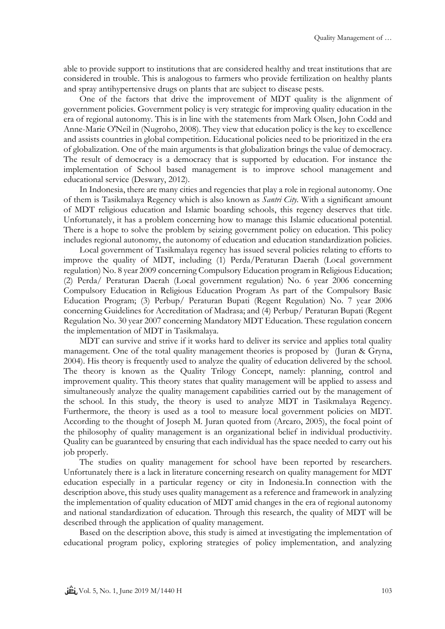able to provide support to institutions that are considered healthy and treat institutions that are considered in trouble. This is analogous to farmers who provide fertilization on healthy plants and spray antihypertensive drugs on plants that are subject to disease pests.

One of the factors that drive the improvement of MDT quality is the alignment of government policies. Government policy is very strategic for improving quality education in the era of regional autonomy. This is in line with the statements from Mark Olsen, John Codd and Anne-Marie O'Neil in (Nugroho, 2008). They view that education policy is the key to excellence and assists countries in global competition. Educational policies need to be prioritized in the era of globalization. One of the main arguments is that globalization brings the value of democracy. The result of democracy is a democracy that is supported by education. For instance the implementation of School based management is to improve school management and educational service (Deswary, 2012).

In Indonesia, there are many cities and regencies that play a role in regional autonomy. One of them is Tasikmalaya Regency which is also known as *Santri City.* With a significant amount of MDT religious education and Islamic boarding schools, this regency deserves that title. Unfortunately, it has a problem concerning how to manage this Islamic educational potential. There is a hope to solve the problem by seizing government policy on education. This policy includes regional autonomy, the autonomy of education and education standardization policies.

Local government of Tasikmalaya regency has issued several policies relating to efforts to improve the quality of MDT, including (1) Perda/Peraturan Daerah (Local government regulation) No. 8 year 2009 concerning Compulsory Education program in Religious Education; (2) Perda/ Peraturan Daerah (Local government regulation) No. 6 year 2006 concerning Compulsory Education in Religious Education Program As part of the Compulsory Basic Education Program; (3) Perbup/ Peraturan Bupati (Regent Regulation) No. 7 year 2006 concerning Guidelines for Accreditation of Madrasa; and (4) Perbup/ Peraturan Bupati (Regent Regulation No. 30 year 2007 concerning Mandatory MDT Education. These regulation concern the implementation of MDT in Tasikmalaya.

MDT can survive and strive if it works hard to deliver its service and applies total quality management. One of the total quality management theories is proposed by (Juran & Gryna, 2004). His theory is frequently used to analyze the quality of education delivered by the school. The theory is known as the Quality Trilogy Concept, namely: planning, control and improvement quality. This theory states that quality management will be applied to assess and simultaneously analyze the quality management capabilities carried out by the management of the school. In this study, the theory is used to analyze MDT in Tasikmalaya Regency. Furthermore, the theory is used as a tool to measure local government policies on MDT. According to the thought of Joseph M. Juran quoted from (Arcaro, 2005), the focal point of the philosophy of quality management is an organizational belief in individual productivity. Quality can be guaranteed by ensuring that each individual has the space needed to carry out his job properly.

The studies on quality management for school have been reported by researchers. Unfortunately there is a lack in literature concerning research on quality management for MDT education especially in a particular regency or city in Indonesia.In connection with the description above, this study uses quality management as a reference and framework in analyzing the implementation of quality education of MDT amid changes in the era of regional autonomy and national standardization of education. Through this research, the quality of MDT will be described through the application of quality management.

Based on the description above, this study is aimed at investigating the implementation of educational program policy, exploring strategies of policy implementation, and analyzing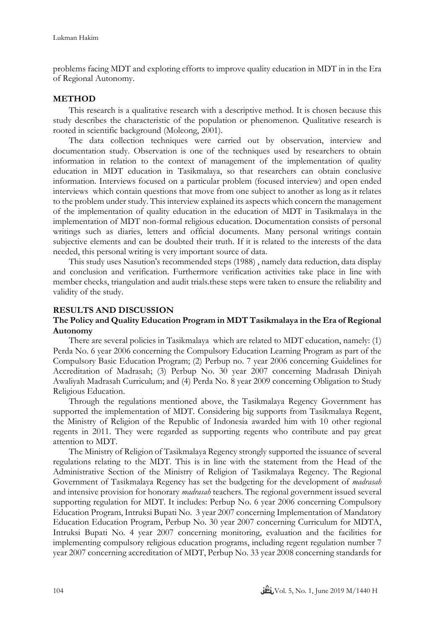problems facing MDT and exploring efforts to improve quality education in MDT in in the Era of Regional Autonomy.

## **METHOD**

This research is a qualitative research with a descriptive method. It is chosen because this study describes the characteristic of the population or phenomenon. Qualitative research is rooted in scientific background (Moleong, 2001).

The data collection techniques were carried out by observation, interview and documentation study. Observation is one of the techniques used by researchers to obtain information in relation to the context of management of the implementation of quality education in MDT education in Tasikmalaya, so that researchers can obtain conclusive information. Interviews focused on a particular problem (focused interview) and open ended interviews which contain questions that move from one subject to another as long as it relates to the problem under study. This interview explained its aspects which concern the management of the implementation of quality education in the education of MDT in Tasikmalaya in the implementation of MDT non-formal religious education. Documentation consists of personal writings such as diaries, letters and official documents. Many personal writings contain subjective elements and can be doubted their truth. If it is related to the interests of the data needed, this personal writing is very important source of data.

This study uses Nasution's recommended steps (1988) , namely data reduction, data display and conclusion and verification. Furthermore verification activities take place in line with member checks, triangulation and audit trials.these steps were taken to ensure the reliability and validity of the study.

# **RESULTS AND DISCUSSION**

# **The Policy and Quality Education Program in MDT Tasikmalaya in the Era of Regional Autonomy**

There are several policies in Tasikmalaya which are related to MDT education, namely: (1) Perda No. 6 year 2006 concerning the Compulsory Education Learning Program as part of the Compulsory Basic Education Program; (2) Perbup no. 7 year 2006 concerning Guidelines for Accreditation of Madrasah; (3) Perbup No. 30 year 2007 concerning Madrasah Diniyah Awaliyah Madrasah Curriculum; and (4) Perda No. 8 year 2009 concerning Obligation to Study Religious Education.

Through the regulations mentioned above, the Tasikmalaya Regency Government has supported the implementation of MDT. Considering big supports from Tasikmalaya Regent, the Ministry of Religion of the Republic of Indonesia awarded him with 10 other regional regents in 2011. They were regarded as supporting regents who contribute and pay great attention to MDT.

The Ministry of Religion of Tasikmalaya Regency strongly supported the issuance of several regulations relating to the MDT. This is in line with the statement from the Head of the Administrative Section of the Ministry of Religion of Tasikmalaya Regency. The Regional Government of Tasikmalaya Regency has set the budgeting for the development of *madrasah* and intensive provision for honorary *madrasah* teachers. The regional government issued several supporting regulation for MDT. It includes: Perbup No. 6 year 2006 concerning Compulsory Education Program, Intruksi Bupati No. 3 year 2007 concerning Implementation of Mandatory Education Education Program, Perbup No. 30 year 2007 concerning Curriculum for MDTA, Intruksi Bupati No. 4 year 2007 concerning monitoring, evaluation and the facilities for implementing compulsory religious education programs, including regent regulation number 7 year 2007 concerning accreditation of MDT, Perbup No. 33 year 2008 concerning standards for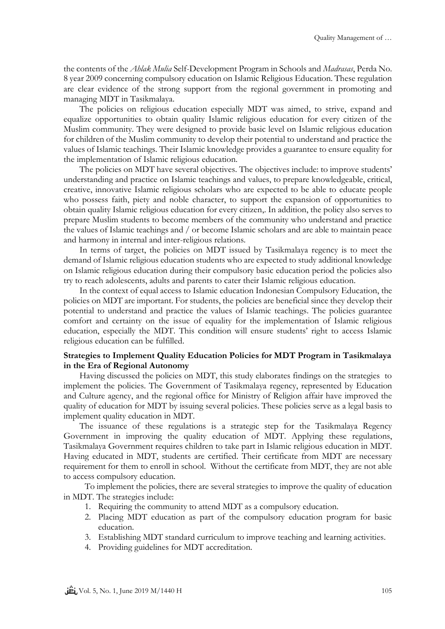the contents of the *Ahlak Mulia* Self-Development Program in Schools and *Madrasas*, Perda No. 8 year 2009 concerning compulsory education on Islamic Religious Education. These regulation are clear evidence of the strong support from the regional government in promoting and managing MDT in Tasikmalaya.

The policies on religious education especially MDT was aimed, to strive, expand and equalize opportunities to obtain quality Islamic religious education for every citizen of the Muslim community. They were designed to provide basic level on Islamic religious education for children of the Muslim community to develop their potential to understand and practice the values of Islamic teachings. Their Islamic knowledge provides a guarantee to ensure equality for the implementation of Islamic religious education.

The policies on MDT have several objectives. The objectives include: to improve students' understanding and practice on Islamic teachings and values, to prepare knowledgeable, critical, creative, innovative Islamic religious scholars who are expected to be able to educate people who possess faith, piety and noble character, to support the expansion of opportunities to obtain quality Islamic religious education for every citizen,. In addition, the policy also serves to prepare Muslim students to become members of the community who understand and practice the values of Islamic teachings and / or become Islamic scholars and are able to maintain peace and harmony in internal and inter-religious relations.

In terms of target, the policies on MDT issued by Tasikmalaya regency is to meet the demand of Islamic religious education students who are expected to study additional knowledge on Islamic religious education during their compulsory basic education period the policies also try to reach adolescents, adults and parents to cater their Islamic religious education.

In the context of equal access to Islamic education Indonesian Compulsory Education, the policies on MDT are important. For students, the policies are beneficial since they develop their potential to understand and practice the values of Islamic teachings. The policies guarantee comfort and certainty on the issue of equality for the implementation of Islamic religious education, especially the MDT. This condition will ensure students' right to access Islamic religious education can be fulfilled.

## **Strategies to Implement Quality Education Policies for MDT Program in Tasikmalaya in the Era of Regional Autonomy**

Having discussed the policies on MDT, this study elaborates findings on the strategies to implement the policies. The Government of Tasikmalaya regency, represented by Education and Culture agency, and the regional office for Ministry of Religion affair have improved the quality of education for MDT by issuing several policies. These policies serve as a legal basis to implement quality education in MDT.

The issuance of these regulations is a strategic step for the Tasikmalaya Regency Government in improving the quality education of MDT. Applying these regulations, Tasikmalaya Government requires children to take part in Islamic religious education in MDT. Having educated in MDT, students are certified. Their certificate from MDT are necessary requirement for them to enroll in school. Without the certificate from MDT, they are not able to access compulsory education.

To implement the policies, there are several strategies to improve the quality of education in MDT. The strategies include:

- 1. Requiring the community to attend MDT as a compulsory education.
- 2. Placing MDT education as part of the compulsory education program for basic education.
- 3. Establishing MDT standard curriculum to improve teaching and learning activities.
- 4. Providing guidelines for MDT accreditation.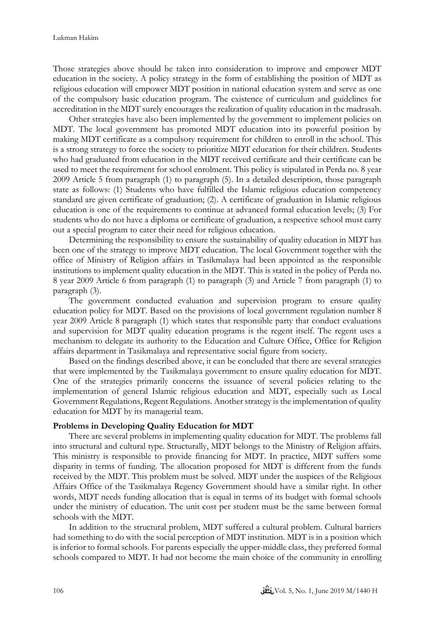Those strategies above should be taken into consideration to improve and empower MDT education in the society. A policy strategy in the form of establishing the position of MDT as religious education will empower MDT position in national education system and serve as one of the compulsory basic education program. The existence of curriculum and guidelines for accreditation in the MDT surely encourages the realization of quality education in the madrasah.

Other strategies have also been implemented by the government to implement policies on MDT. The local government has promoted MDT education into its powerful position by making MDT certificate as a compulsory requirement for children to enroll in the school. This is a strong strategy to force the society to prioritize MDT education for their children. Students who had graduated from education in the MDT received certificate and their certificate can be used to meet the requirement for school enrolment. This policy is stipulated in Perda no. 8 year 2009 Article 5 from paragraph (1) to paragraph (5). In a detailed description, those paragraph state as follows: (1) Students who have fulfilled the Islamic religious education competency standard are given certificate of graduation; (2). A certificate of graduation in Islamic religious education is one of the requirements to continue at advanced formal education levels; (3) For students who do not have a diploma or certificate of graduation, a respective school must carry out a special program to cater their need for religious education.

Determining the responsibility to ensure the sustainability of quality education in MDT has been one of the strategy to improve MDT education. The local Government together with the office of Ministry of Religion affairs in Tasikmalaya had been appointed as the responsible institutions to implement quality education in the MDT. This is stated in the policy of Perda no. 8 year 2009 Article 6 from paragraph (1) to paragraph (3) and Article 7 from paragraph (1) to paragraph (3).

The government conducted evaluation and supervision program to ensure quality education policy for MDT. Based on the provisions of local government regulation number 8 year 2009 Article 8 paragraph (1) which states that responsible party that conduct evaluations and supervision for MDT quality education programs is the regent itself. The regent uses a mechanism to delegate its authority to the Education and Culture Office, Office for Religion affairs department in Tasikmalaya and representative social figure from society.

Based on the findings described above, it can be concluded that there are several strategies that were implemented by the Tasikmalaya government to ensure quality education for MDT. One of the strategies primarily concerns the issuance of several policies relating to the implementation of general Islamic religious education and MDT, especially such as Local Government Regulations, Regent Regulations. Another strategy is the implementation of quality education for MDT by its managerial team.

## **Problems in Developing Quality Education for MDT**

There are several problems in implementing quality education for MDT. The problems fall into structural and cultural type. Structurally, MDT belongs to the Ministry of Religion affairs. This ministry is responsible to provide financing for MDT. In practice, MDT suffers some disparity in terms of funding. The allocation proposed for MDT is different from the funds received by the MDT. This problem must be solved. MDT under the auspices of the Religious Affairs Office of the Tasikmalaya Regency Government should have a similar right. In other words, MDT needs funding allocation that is equal in terms of its budget with formal schools under the ministry of education. The unit cost per student must be the same between formal schools with the MDT.

In addition to the structural problem, MDT suffered a cultural problem. Cultural barriers had something to do with the social perception of MDT institution. MDT is in a position which is inferior to formal schools. For parents especially the upper-middle class, they preferred formal schools compared to MDT. It had not become the main choice of the community in enrolling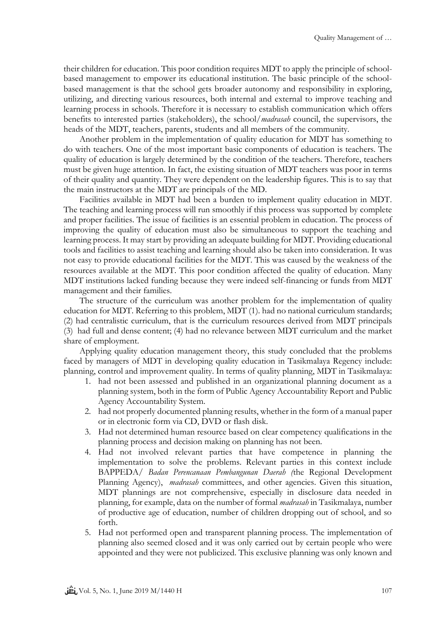their children for education. This poor condition requires MDT to apply the principle of schoolbased management to empower its educational institution. The basic principle of the schoolbased management is that the school gets broader autonomy and responsibility in exploring, utilizing, and directing various resources, both internal and external to improve teaching and learning process in schools. Therefore it is necessary to establish communication which offers benefits to interested parties (stakeholders), the school/*madrasah* council, the supervisors, the heads of the MDT, teachers, parents, students and all members of the community.

Another problem in the implementation of quality education for MDT has something to do with teachers. One of the most important basic components of education is teachers. The quality of education is largely determined by the condition of the teachers. Therefore, teachers must be given huge attention. In fact, the existing situation of MDT teachers was poor in terms of their quality and quantity. They were dependent on the leadership figures. This is to say that the main instructors at the MDT are principals of the MD.

Facilities available in MDT had been a burden to implement quality education in MDT. The teaching and learning process will run smoothly if this process was supported by complete and proper facilities. The issue of facilities is an essential problem in education. The process of improving the quality of education must also be simultaneous to support the teaching and learning process. It may start by providing an adequate building for MDT. Providing educational tools and facilities to assist teaching and learning should also be taken into consideration. It was not easy to provide educational facilities for the MDT. This was caused by the weakness of the resources available at the MDT. This poor condition affected the quality of education. Many MDT institutions lacked funding because they were indeed self-financing or funds from MDT management and their families.

The structure of the curriculum was another problem for the implementation of quality education for MDT. Referring to this problem, MDT (1). had no national curriculum standards; (2) had centralistic curriculum, that is the curriculum resources derived from MDT principals (3) had full and dense content; (4) had no relevance between MDT curriculum and the market share of employment.

Applying quality education management theory, this study concluded that the problems faced by managers of MDT in developing quality education in Tasikmalaya Regency include: planning, control and improvement quality. In terms of quality planning, MDT in Tasikmalaya:

- 1. had not been assessed and published in an organizational planning document as a planning system, both in the form of Public Agency Accountability Report and Public Agency Accountability System.
- 2. had not properly documented planning results, whether in the form of a manual paper or in electronic form via CD, DVD or flash disk.
- 3. Had not determined human resource based on clear competency qualifications in the planning process and decision making on planning has not been.
- 4. Had not involved relevant parties that have competence in planning the implementation to solve the problems. Relevant parties in this context include BAPPEDA/ *Badan Perencanaan Pembangunan Daerah (*the Regional Development Planning Agency), *madrasah* committees, and other agencies. Given this situation, MDT plannings are not comprehensive, especially in disclosure data needed in planning, for example, data on the number of formal *madrasah* in Tasikmalaya, number of productive age of education, number of children dropping out of school, and so forth.
- 5. Had not performed open and transparent planning process. The implementation of planning also seemed closed and it was only carried out by certain people who were appointed and they were not publicized. This exclusive planning was only known and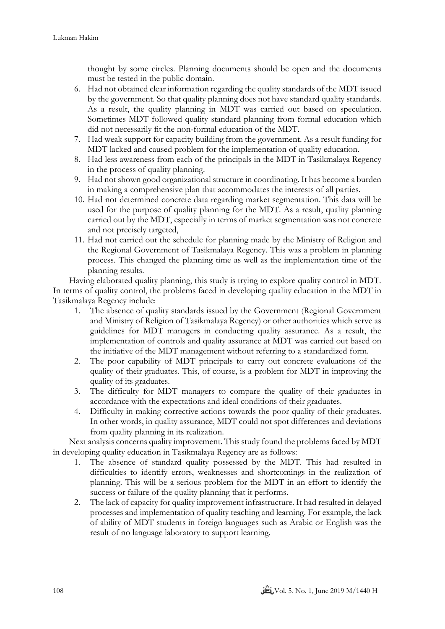thought by some circles. Planning documents should be open and the documents must be tested in the public domain.

- 6. Had not obtained clear information regarding the quality standards of the MDT issued by the government. So that quality planning does not have standard quality standards. As a result, the quality planning in MDT was carried out based on speculation. Sometimes MDT followed quality standard planning from formal education which did not necessarily fit the non-formal education of the MDT.
- 7. Had weak support for capacity building from the government. As a result funding for MDT lacked and caused problem for the implementation of quality education.
- 8. Had less awareness from each of the principals in the MDT in Tasikmalaya Regency in the process of quality planning.
- 9. Had not shown good organizational structure in coordinating. It has become a burden in making a comprehensive plan that accommodates the interests of all parties.
- 10. Had not determined concrete data regarding market segmentation. This data will be used for the purpose of quality planning for the MDT. As a result, quality planning carried out by the MDT, especially in terms of market segmentation was not concrete and not precisely targeted,
- 11. Had not carried out the schedule for planning made by the Ministry of Religion and the Regional Government of Tasikmalaya Regency. This was a problem in planning process. This changed the planning time as well as the implementation time of the planning results.

Having elaborated quality planning, this study is trying to explore quality control in MDT. In terms of quality control, the problems faced in developing quality education in the MDT in Tasikmalaya Regency include:

- 1. The absence of quality standards issued by the Government (Regional Government and Ministry of Religion of Tasikmalaya Regency) or other authorities which serve as guidelines for MDT managers in conducting quality assurance. As a result, the implementation of controls and quality assurance at MDT was carried out based on the initiative of the MDT management without referring to a standardized form.
- 2. The poor capability of MDT principals to carry out concrete evaluations of the quality of their graduates. This, of course, is a problem for MDT in improving the quality of its graduates.
- 3. The difficulty for MDT managers to compare the quality of their graduates in accordance with the expectations and ideal conditions of their graduates.
- 4. Difficulty in making corrective actions towards the poor quality of their graduates. In other words, in quality assurance, MDT could not spot differences and deviations from quality planning in its realization.

Next analysis concerns quality improvement. This study found the problems faced by MDT in developing quality education in Tasikmalaya Regency are as follows:

- 1. The absence of standard quality possessed by the MDT. This had resulted in difficulties to identify errors, weaknesses and shortcomings in the realization of planning. This will be a serious problem for the MDT in an effort to identify the success or failure of the quality planning that it performs.
- 2. The lack of capacity for quality improvement infrastructure. It had resulted in delayed processes and implementation of quality teaching and learning. For example, the lack of ability of MDT students in foreign languages such as Arabic or English was the result of no language laboratory to support learning.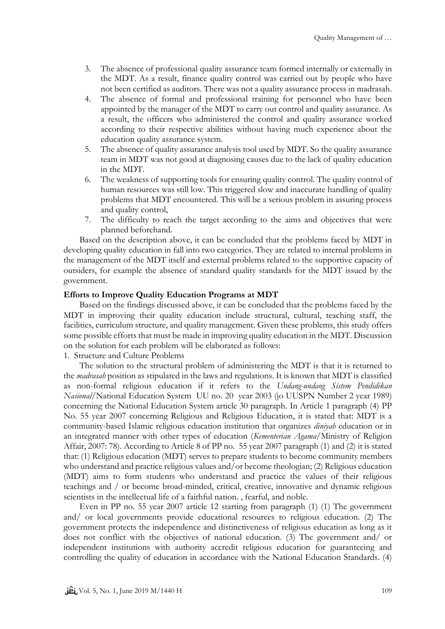- 3. The absence of professional quality assurance team formed internally or externally in the MDT. As a result, finance quality control was carried out by people who have not been certified as auditors. There was not a quality assurance process in madrasah.
- 4. The absence of formal and professional training for personnel who have been appointed by the manager of the MDT to carry out control and quality assurance. As a result, the officers who administered the control and quality assurance worked according to their respective abilities without having much experience about the education quality assurance system.
- 5. The absence of quality assurance analysis tool used by MDT. So the quality assurance team in MDT was not good at diagnosing causes due to the lack of quality education in the MDT.
- 6. The weakness of supporting tools for ensuring quality control. The quality control of human resources was still low. This triggered slow and inaccurate handling of quality problems that MDT encountered. This will be a serious problem in assuring process and quality control,
- 7. The difficulty to reach the target according to the aims and objectives that were planned beforehand.

Based on the description above, it can be concluded that the problems faced by MDT in developing quality education in fall into two categories. They are related to internal problems in the management of the MDT itself and external problems related to the supportive capacity of outsiders, for example the absence of standard quality standards for the MDT issued by the government.

## **Efforts to Improve Quality Education Programs at MDT**

Based on the findings discussed above, it can be concluded that the problems faced by the MDT in improving their quality education include structural, cultural, teaching staff, the facilities, curriculum structure, and quality management. Given these problems, this study offers some possible efforts that must be made in improving quality education in the MDT. Discussion on the solution for each problem will be elaborated as follows:

1. Structure and Culture Problems

The solution to the structural problem of administering the MDT is that it is returned to the *madrasah* position as stipulated in the laws and regulations. It is known that MDT is classified as non-formal religious education if it refers to the *Undang-undang Sistem Pendidikan Nasional/*National Education System UU no. 20 year 2003 (jo UUSPN Number 2 year 1989) concerning the National Education System article 30 paragraph. In Article 1 paragraph (4) PP No. 55 year 2007 concerning Religious and Religious Education, it is stated that: MDT is a community-based Islamic religious education institution that organizes *diniyah* education or in an integrated manner with other types of education (*Kementerian Agama*/Ministry of Religion Affair, 2007: 78). According to Article 8 of PP no. 55 year 2007 paragraph (1) and (2) it is stated that: (1) Religious education (MDT) serves to prepare students to become community members who understand and practice religious values and/or become theologian; (2) Religious education (MDT) aims to form students who understand and practice the values of their religious teachings and / or become broad-minded, critical, creative, innovative and dynamic religious scientists in the intellectual life of a faithful nation. , fearful, and noble.

Even in PP no. 55 year 2007 article 12 starting from paragraph (1) (1) The government and/ or local governments provide educational resources to religious education. (2) The government protects the independence and distinctiveness of religious education as long as it does not conflict with the objectives of national education. (3) The government and/ or independent institutions with authority accredit religious education for guaranteeing and controlling the quality of education in accordance with the National Education Standards. (4)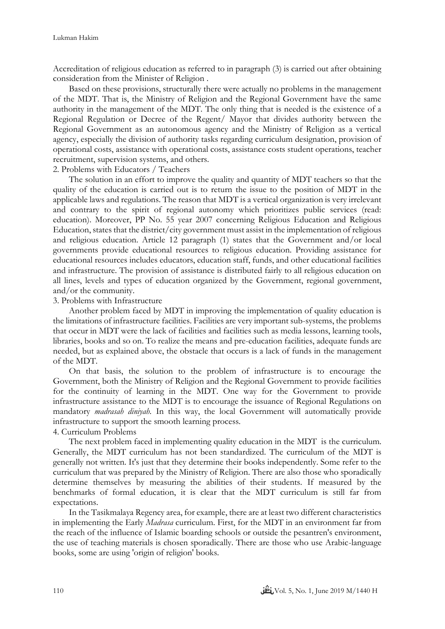Accreditation of religious education as referred to in paragraph (3) is carried out after obtaining consideration from the Minister of Religion .

Based on these provisions, structurally there were actually no problems in the management of the MDT. That is, the Ministry of Religion and the Regional Government have the same authority in the management of the MDT. The only thing that is needed is the existence of a Regional Regulation or Decree of the Regent/ Mayor that divides authority between the Regional Government as an autonomous agency and the Ministry of Religion as a vertical agency, especially the division of authority tasks regarding curriculum designation, provision of operational costs, assistance with operational costs, assistance costs student operations, teacher recruitment, supervision systems, and others.

## 2. Problems with Educators / Teachers

The solution in an effort to improve the quality and quantity of MDT teachers so that the quality of the education is carried out is to return the issue to the position of MDT in the applicable laws and regulations. The reason that MDT is a vertical organization is very irrelevant and contrary to the spirit of regional autonomy which prioritizes public services (read: education). Moreover, PP No. 55 year 2007 concerning Religious Education and Religious Education, states that the district/city government must assist in the implementation of religious and religious education. Article 12 paragraph (1) states that the Government and/or local governments provide educational resources to religious education. Providing assistance for educational resources includes educators, education staff, funds, and other educational facilities and infrastructure. The provision of assistance is distributed fairly to all religious education on all lines, levels and types of education organized by the Government, regional government, and/or the community.

## 3. Problems with Infrastructure

Another problem faced by MDT in improving the implementation of quality education is the limitations of infrastructure facilities. Facilities are very important sub-systems, the problems that occur in MDT were the lack of facilities and facilities such as media lessons, learning tools, libraries, books and so on. To realize the means and pre-education facilities, adequate funds are needed, but as explained above, the obstacle that occurs is a lack of funds in the management of the MDT.

On that basis, the solution to the problem of infrastructure is to encourage the Government, both the Ministry of Religion and the Regional Government to provide facilities for the continuity of learning in the MDT. One way for the Government to provide infrastructure assistance to the MDT is to encourage the issuance of Regional Regulations on mandatory *madrasah diniyah.* In this way, the local Government will automatically provide infrastructure to support the smooth learning process.

## 4. Curriculum Problems

The next problem faced in implementing quality education in the MDT is the curriculum. Generally, the MDT curriculum has not been standardized. The curriculum of the MDT is generally not written. It's just that they determine their books independently. Some refer to the curriculum that was prepared by the Ministry of Religion. There are also those who sporadically determine themselves by measuring the abilities of their students. If measured by the benchmarks of formal education, it is clear that the MDT curriculum is still far from expectations.

In the Tasikmalaya Regency area, for example, there are at least two different characteristics in implementing the Early *Madrasa* curriculum. First, for the MDT in an environment far from the reach of the influence of Islamic boarding schools or outside the pesantren's environment, the use of teaching materials is chosen sporadically. There are those who use Arabic-language books, some are using 'origin of religion' books.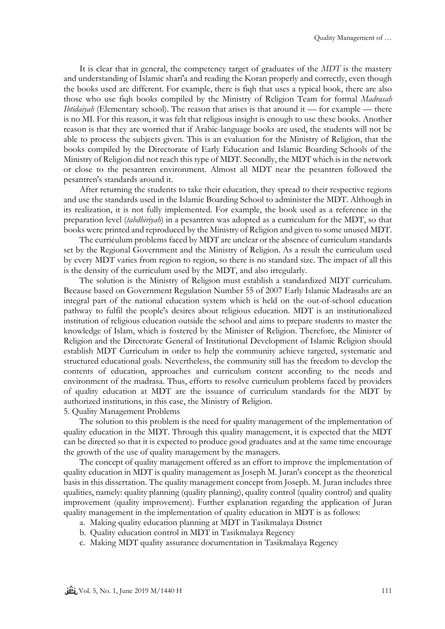It is clear that in general, the competency target of graduates of the *MDT* is the mastery and understanding of Islamic shari'a and reading the Koran properly and correctly, even though the books used are different. For example, there is fiqh that uses a typical book, there are also those who use fiqh books compiled by the Ministry of Religion Team for formal *Madrasah Ibtidaiyah* (Elementary school). The reason that arises is that around it — for example — there is no MI. For this reason, it was felt that religious insight is enough to use these books. Another reason is that they are worried that if Arabic-language books are used, the students will not be able to process the subjects given. This is an evaluation for the Ministry of Religion, that the books compiled by the Directorate of Early Education and Islamic Boarding Schools of the Ministry of Religion did not reach this type of MDT. Secondly, the MDT which is in the network or close to the pesantren environment. Almost all MDT near the pesantren followed the pesantren's standards around it.

After returning the students to take their education, they spread to their respective regions and use the standards used in the Islamic Boarding School to administer the MDT. Although in its realization, it is not fully implemented. For example, the book used as a reference in the preparation level (*tahdhiriyah*) in a pesantren was adopted as a curriculum for the MDT, so that books were printed and reproduced by the Ministry of Religion and given to some unused MDT.

The curriculum problems faced by MDT are unclear or the absence of curriculum standards set by the Regional Government and the Ministry of Religion. As a result the curriculum used by every MDT varies from region to region, so there is no standard size. The impact of all this is the density of the curriculum used by the MDT, and also irregularly.

The solution is the Ministry of Religion must establish a standardized MDT curriculum. Because based on Government Regulation Number 55 of 2007 Early Islamic Madrasahs are an integral part of the national education system which is held on the out-of-school education pathway to fulfil the people's desires about religious education. MDT is an institutionalized institution of religious education outside the school and aims to prepare students to master the knowledge of Islam, which is fostered by the Minister of Religion. Therefore, the Minister of Religion and the Directorate General of Institutional Development of Islamic Religion should establish MDT Curriculum in order to help the community achieve targeted, systematic and structured educational goals. Nevertheless, the community still has the freedom to develop the contents of education, approaches and curriculum content according to the needs and environment of the madrasa. Thus, efforts to resolve curriculum problems faced by providers of quality education at MDT are the issuance of curriculum standards for the MDT by authorized institutions, in this case, the Ministry of Religion.

5. Quality Management Problems

The solution to this problem is the need for quality management of the implementation of quality education in the MDT. Through this quality management, it is expected that the MDT can be directed so that it is expected to produce good graduates and at the same time encourage the growth of the use of quality management by the managers.

The concept of quality management offered as an effort to improve the implementation of quality education in MDT is quality management as Joseph M. Juran's concept as the theoretical basis in this dissertation. The quality management concept from Joseph. M. Juran includes three qualities, namely: quality planning (quality planning), quality control (quality control) and quality improvement (quality improvement). Further explanation regarding the application of Juran quality management in the implementation of quality education in MDT is as follows:

- a. Making quality education planning at MDT in Tasikmalaya District
- b. Quality education control in MDT in Tasikmalaya Regency
- c. Making MDT quality assurance documentation in Tasikmalaya Regency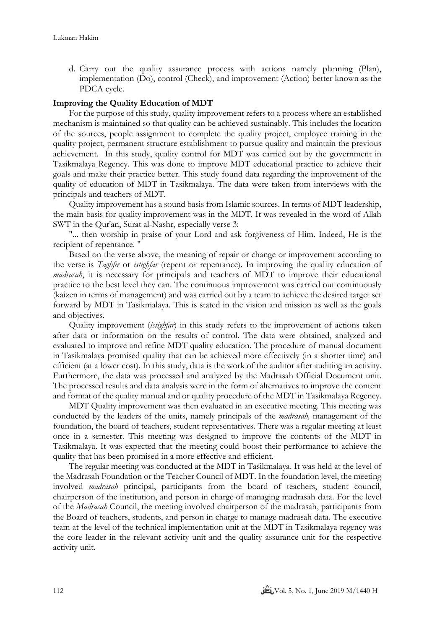d. Carry out the quality assurance process with actions namely planning (Plan), implementation (Do), control (Check), and improvement (Action) better known as the PDCA cycle.

## **Improving the Quality Education of MDT**

For the purpose of this study, quality improvement refers to a process where an established mechanism is maintained so that quality can be achieved sustainably. This includes the location of the sources, people assignment to complete the quality project, employee training in the quality project, permanent structure establishment to pursue quality and maintain the previous achievement. In this study, quality control for MDT was carried out by the government in Tasikmalaya Regency. This was done to improve MDT educational practice to achieve their goals and make their practice better. This study found data regarding the improvement of the quality of education of MDT in Tasikmalaya. The data were taken from interviews with the principals and teachers of MDT.

Quality improvement has a sound basis from Islamic sources. In terms of MDT leadership, the main basis for quality improvement was in the MDT. It was revealed in the word of Allah SWT in the Qur'an, Surat al-Nashr, especially verse 3:

"... then worship in praise of your Lord and ask forgiveness of Him. Indeed, He is the recipient of repentance. "

Based on the verse above, the meaning of repair or change or improvement according to the verse is *Taghfir* or *istighfar* (repent or repentance). In improving the quality education of *madrasah*, it is necessary for principals and teachers of MDT to improve their educational practice to the best level they can. The continuous improvement was carried out continuously (kaizen in terms of management) and was carried out by a team to achieve the desired target set forward by MDT in Tasikmalaya. This is stated in the vision and mission as well as the goals and objectives.

Quality improvement (*istighfar*) in this study refers to the improvement of actions taken after data or information on the results of control. The data were obtained, analyzed and evaluated to improve and refine MDT quality education. The procedure of manual document in Tasikmalaya promised quality that can be achieved more effectively (in a shorter time) and efficient (at a lower cost). In this study, data is the work of the auditor after auditing an activity. Furthermore, the data was processed and analyzed by the Madrasah Official Document unit. The processed results and data analysis were in the form of alternatives to improve the content and format of the quality manual and or quality procedure of the MDT in Tasikmalaya Regency.

MDT Quality improvement was then evaluated in an executive meeting. This meeting was conducted by the leaders of the units, namely principals of the *madrasah,* management of the foundation, the board of teachers, student representatives. There was a regular meeting at least once in a semester. This meeting was designed to improve the contents of the MDT in Tasikmalaya. It was expected that the meeting could boost their performance to achieve the quality that has been promised in a more effective and efficient.

The regular meeting was conducted at the MDT in Tasikmalaya. It was held at the level of the Madrasah Foundation or the Teacher Council of MDT. In the foundation level, the meeting involved *madrasah* principal, participants from the board of teachers, student council, chairperson of the institution, and person in charge of managing madrasah data. For the level of the *Madrasah* Council, the meeting involved chairperson of the madrasah, participants from the Board of teachers, students, and person in charge to manage madrasah data. The executive team at the level of the technical implementation unit at the MDT in Tasikmalaya regency was the core leader in the relevant activity unit and the quality assurance unit for the respective activity unit.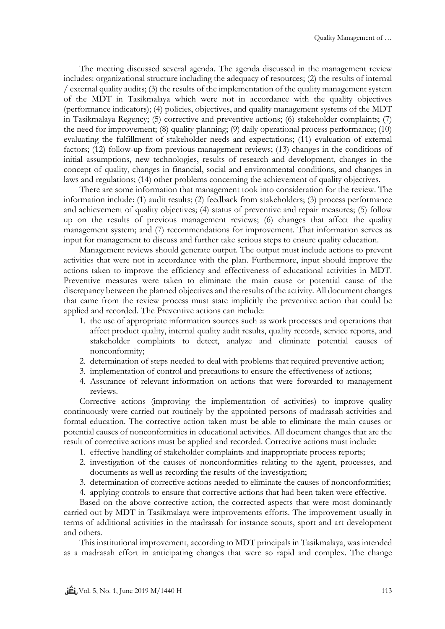The meeting discussed several agenda. The agenda discussed in the management review includes: organizational structure including the adequacy of resources; (2) the results of internal / external quality audits; (3) the results of the implementation of the quality management system of the MDT in Tasikmalaya which were not in accordance with the quality objectives (performance indicators); (4) policies, objectives, and quality management systems of the MDT in Tasikmalaya Regency; (5) corrective and preventive actions; (6) stakeholder complaints; (7) the need for improvement; (8) quality planning; (9) daily operational process performance; (10) evaluating the fulfillment of stakeholder needs and expectations; (11) evaluation of external factors; (12) follow-up from previous management reviews; (13) changes in the conditions of initial assumptions, new technologies, results of research and development, changes in the concept of quality, changes in financial, social and environmental conditions, and changes in laws and regulations; (14) other problems concerning the achievement of quality objectives.

There are some information that management took into consideration for the review. The information include: (1) audit results; (2) feedback from stakeholders; (3) process performance and achievement of quality objectives; (4) status of preventive and repair measures; (5) follow up on the results of previous management reviews; (6) changes that affect the quality management system; and (7) recommendations for improvement. That information serves as input for management to discuss and further take serious steps to ensure quality education.

Management reviews should generate output. The output must include actions to prevent activities that were not in accordance with the plan. Furthermore, input should improve the actions taken to improve the efficiency and effectiveness of educational activities in MDT. Preventive measures were taken to eliminate the main cause or potential cause of the discrepancy between the planned objectives and the results of the activity. All document changes that came from the review process must state implicitly the preventive action that could be applied and recorded. The Preventive actions can include:

- 1. the use of appropriate information sources such as work processes and operations that affect product quality, internal quality audit results, quality records, service reports, and stakeholder complaints to detect, analyze and eliminate potential causes of nonconformity;
- 2. determination of steps needed to deal with problems that required preventive action;
- 3. implementation of control and precautions to ensure the effectiveness of actions;
- 4. Assurance of relevant information on actions that were forwarded to management reviews.

Corrective actions (improving the implementation of activities) to improve quality continuously were carried out routinely by the appointed persons of madrasah activities and formal education. The corrective action taken must be able to eliminate the main causes or potential causes of nonconformities in educational activities. All document changes that are the result of corrective actions must be applied and recorded. Corrective actions must include:

- 1. effective handling of stakeholder complaints and inappropriate process reports;
- 2. investigation of the causes of nonconformities relating to the agent, processes, and documents as well as recording the results of the investigation;
- 3. determination of corrective actions needed to eliminate the causes of nonconformities;
- 4. applying controls to ensure that corrective actions that had been taken were effective.

Based on the above corrective action, the corrected aspects that were most dominantly carried out by MDT in Tasikmalaya were improvements efforts. The improvement usually in terms of additional activities in the madrasah for instance scouts, sport and art development and others.

This institutional improvement, according to MDT principals in Tasikmalaya, was intended as a madrasah effort in anticipating changes that were so rapid and complex. The change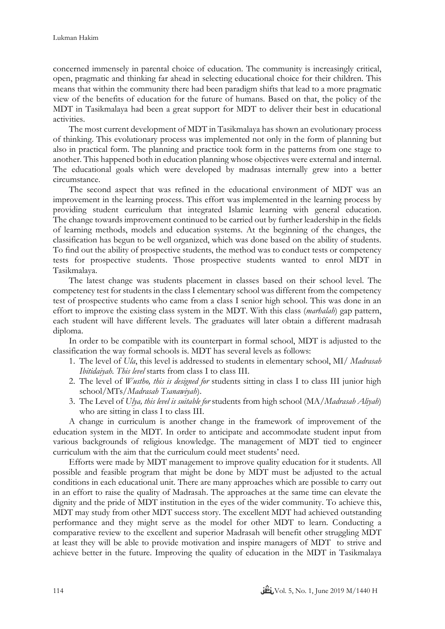concerned immensely in parental choice of education. The community is increasingly critical, open, pragmatic and thinking far ahead in selecting educational choice for their children. This means that within the community there had been paradigm shifts that lead to a more pragmatic view of the benefits of education for the future of humans. Based on that, the policy of the MDT in Tasikmalaya had been a great support for MDT to deliver their best in educational activities.

The most current development of MDT in Tasikmalaya has shown an evolutionary process of thinking. This evolutionary process was implemented not only in the form of planning but also in practical form. The planning and practice took form in the patterns from one stage to another. This happened both in education planning whose objectives were external and internal. The educational goals which were developed by madrasas internally grew into a better circumstance.

The second aspect that was refined in the educational environment of MDT was an improvement in the learning process. This effort was implemented in the learning process by providing student curriculum that integrated Islamic learning with general education. The change towards improvement continued to be carried out by further leadership in the fields of learning methods, models and education systems. At the beginning of the changes, the classification has begun to be well organized, which was done based on the ability of students. To find out the ability of prospective students, the method was to conduct tests or competency tests for prospective students. Those prospective students wanted to enrol MDT in Tasikmalaya.

The latest change was students placement in classes based on their school level. The competency test for students in the class I elementary school was different from the competency test of prospective students who came from a class I senior high school. This was done in an effort to improve the existing class system in the MDT. With this class (*marhalah*) gap pattern, each student will have different levels. The graduates will later obtain a different madrasah diploma.

In order to be compatible with its counterpart in formal school, MDT is adjusted to the classification the way formal schools is. MDT has several levels as follows:

- 1. The level of *Ula*, this level is addressed to students in elementary school, MI/ *Madrasah Ibitidaiyah. This level* starts from class I to class III.
- 2. The level of *Wustho, this is designed for* students sitting in class I to class III junior high school/MTs/*Madrasah Tsanawiyah*).
- 3. The Level of *Ulya, this level is suitable for* students from high school (MA/*Madrasah Aliyah*) who are sitting in class I to class III.

A change in curriculum is another change in the framework of improvement of the education system in the MDT. In order to anticipate and accommodate student input from various backgrounds of religious knowledge. The management of MDT tied to engineer curriculum with the aim that the curriculum could meet students' need.

Efforts were made by MDT management to improve quality education for it students. All possible and feasible program that might be done by MDT must be adjusted to the actual conditions in each educational unit. There are many approaches which are possible to carry out in an effort to raise the quality of Madrasah. The approaches at the same time can elevate the dignity and the pride of MDT institution in the eyes of the wider community. To achieve this, MDT may study from other MDT success story. The excellent MDT had achieved outstanding performance and they might serve as the model for other MDT to learn. Conducting a comparative review to the excellent and superior Madrasah will benefit other struggling MDT at least they will be able to provide motivation and inspire managers of MDT to strive and achieve better in the future. Improving the quality of education in the MDT in Tasikmalaya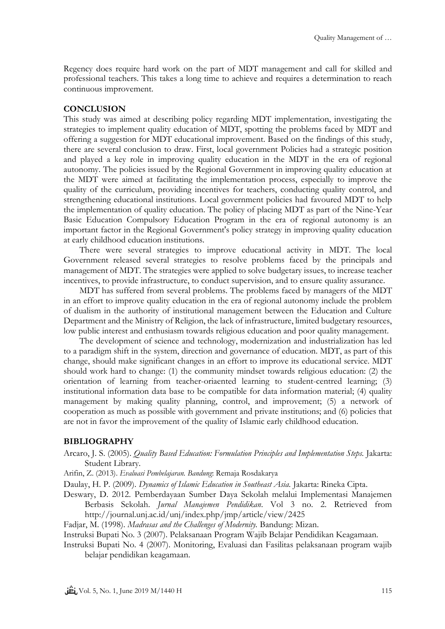Regency does require hard work on the part of MDT management and call for skilled and professional teachers. This takes a long time to achieve and requires a determination to reach continuous improvement.

# **CONCLUSION**

This study was aimed at describing policy regarding MDT implementation, investigating the strategies to implement quality education of MDT, spotting the problems faced by MDT and offering a suggestion for MDT educational improvement. Based on the findings of this study, there are several conclusion to draw. First, local government Policies had a strategic position and played a key role in improving quality education in the MDT in the era of regional autonomy. The policies issued by the Regional Government in improving quality education at the MDT were aimed at facilitating the implementation process, especially to improve the quality of the curriculum, providing incentives for teachers, conducting quality control, and strengthening educational institutions. Local government policies had favoured MDT to help the implementation of quality education. The policy of placing MDT as part of the Nine-Year Basic Education Compulsory Education Program in the era of regional autonomy is an important factor in the Regional Government's policy strategy in improving quality education at early childhood education institutions.

There were several strategies to improve educational activity in MDT. The local Government released several strategies to resolve problems faced by the principals and management of MDT. The strategies were applied to solve budgetary issues, to increase teacher incentives, to provide infrastructure, to conduct supervision, and to ensure quality assurance.

MDT has suffered from several problems. The problems faced by managers of the MDT in an effort to improve quality education in the era of regional autonomy include the problem of dualism in the authority of institutional management between the Education and Culture Department and the Ministry of Religion, the lack of infrastructure, limited budgetary resources, low public interest and enthusiasm towards religious education and poor quality management.

The development of science and technology, modernization and industrialization has led to a paradigm shift in the system, direction and governance of education. MDT, as part of this change, should make significant changes in an effort to improve its educational service. MDT should work hard to change: (1) the community mindset towards religious education: (2) the orientation of learning from teacher-oriaented learning to student-centred learning; (3) institutional information data base to be compatible for data information material; (4) quality management by making quality planning, control, and improvement; (5) a network of cooperation as much as possible with government and private institutions; and (6) policies that are not in favor the improvement of the quality of Islamic early childhood education.

## **BIBLIOGRAPHY**

- Arcaro, J. S. (2005). *Quality Based Education: Formulation Principles and Implementation Steps.* Jakarta: Student Library.
- Arifin, Z. (2013). *Evaluasi Pembelajaran. Bandung*: Remaja Rosdakarya
- Daulay, H. P. (2009). *Dynamics of Islamic Education in Southeast Asia.* Jakarta: Rineka Cipta.
- Deswary, D. 2012. Pemberdayaan Sumber Daya Sekolah melalui Implementasi Manajemen Berbasis Sekolah. *Jurnal Manajemen Pendidikan*. Vol 3 no. 2. Retrieved from http://journal.unj.ac.id/unj/index.php/jmp/article/view/2425
- Fadjar, M. (1998). *Madrasas and the Challenges of Modernity.* Bandung: Mizan.

Instruksi Bupati No. 3 (2007). Pelaksanaan Program Wajib Belajar Pendidikan Keagamaan.

Instruksi Bupati No. 4 (2007). Monitoring, Evaluasi dan Fasilitas pelaksanaan program wajib belajar pendidikan keagamaan.